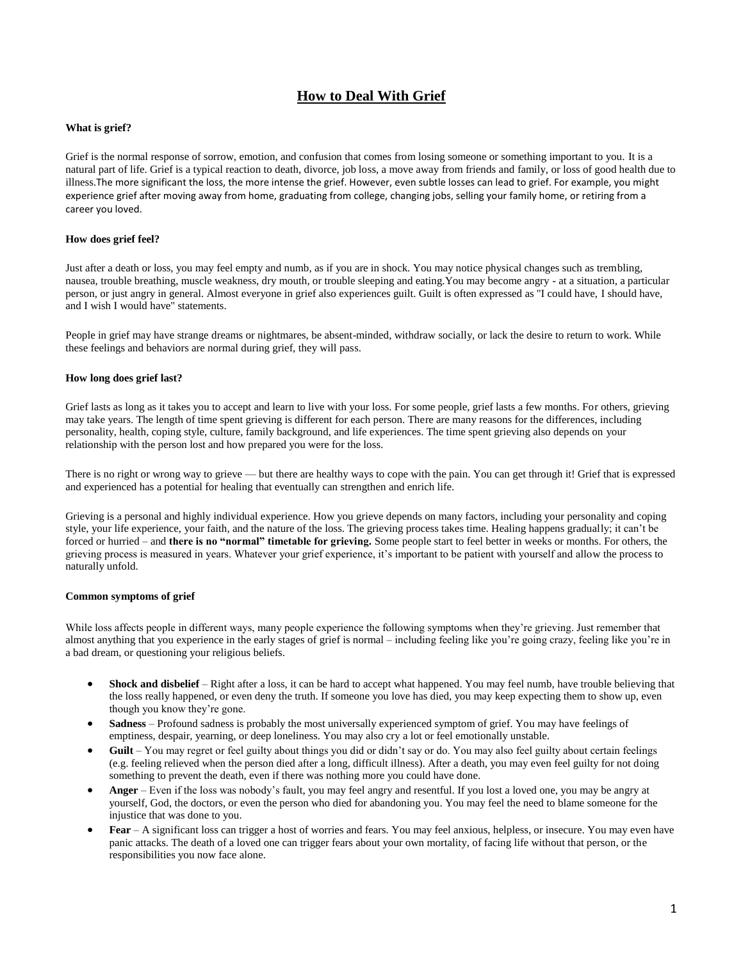# **How to Deal With Grief**

### **What is grief?**

Grief is the normal response of sorrow, emotion, and confusion that comes from losing someone or something important to you. It is a natural part of life. Grief is a typical reaction to death, divorce, job loss, a move away from friends and family, or loss of good health due to illness.The more significant the loss, the more intense the grief. However, even subtle losses can lead to grief. For example, you might experience grief after moving away from home, graduating from college, changing jobs, selling your family home, or retiring from a career you loved.

#### **How does grief feel?**

Just after a death or loss, you may feel empty and numb, as if you are in shock. You may notice physical changes such as trembling, nausea, trouble breathing, muscle weakness, dry mouth, or trouble sleeping and eating.You may become angry - at a situation, a particular person, or just angry in general. Almost everyone in grief also experiences guilt. Guilt is often expressed as "I could have, I should have, and I wish I would have" statements.

People in grief may have strange dreams or nightmares, be absent-minded, withdraw socially, or lack the desire to return to work. While these feelings and behaviors are normal during grief, they will pass.

#### **How long does grief last?**

Grief lasts as long as it takes you to accept and learn to live with your loss. For some people, grief lasts a few months. For others, grieving may take years. The length of time spent grieving is different for each person. There are many reasons for the differences, including personality, health, coping style, culture, family background, and life experiences. The time spent grieving also depends on your relationship with the person lost and how prepared you were for the loss.

There is no right or wrong way to grieve — but there are healthy ways to cope with the pain. You can get through it! Grief that is expressed and experienced has a potential for healing that eventually can strengthen and enrich life.

Grieving is a personal and highly individual experience. How you grieve depends on many factors, including your personality and coping style, your life experience, your faith, and the nature of the loss. The grieving process takes time. Healing happens gradually; it can't be forced or hurried – and **there is no "normal" timetable for grieving.** Some people start to feel better in weeks or months. For others, the grieving process is measured in years. Whatever your grief experience, it's important to be patient with yourself and allow the process to naturally unfold.

#### **Common symptoms of grief**

While loss affects people in different ways, many people experience the following symptoms when they're grieving. Just remember that almost anything that you experience in the early stages of grief is normal – including feeling like you're going crazy, feeling like you're in a bad dream, or questioning your religious beliefs.

- **Shock and disbelief** Right after a loss, it can be hard to accept what happened. You may feel numb, have trouble believing that the loss really happened, or even deny the truth. If someone you love has died, you may keep expecting them to show up, even though you know they're gone.
- **Sadness** Profound sadness is probably the most universally experienced symptom of grief. You may have feelings of emptiness, despair, yearning, or deep loneliness. You may also cry a lot or feel emotionally unstable.
- **Guilt**  You may regret or feel guilty about things you did or didn't say or do. You may also feel guilty about certain feelings (e.g. feeling relieved when the person died after a long, difficult illness). After a death, you may even feel guilty for not doing something to prevent the death, even if there was nothing more you could have done.
- **Anger**  Even if the loss was nobody's fault, you may feel angry and resentful. If you lost a loved one, you may be angry at yourself, God, the doctors, or even the person who died for abandoning you. You may feel the need to blame someone for the injustice that was done to you.
- **Fear**  A significant loss can trigger a host of worries and fears. You may feel anxious, helpless, or insecure. You may even have panic attacks. The death of a loved one can trigger fears about your own mortality, of facing life without that person, or the responsibilities you now face alone.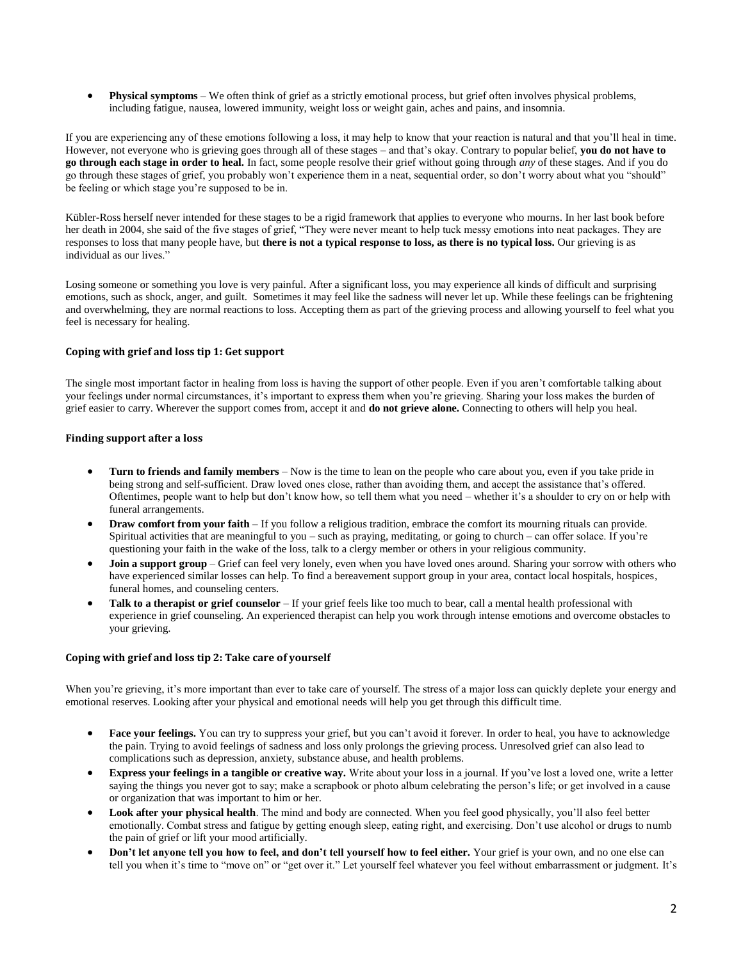**Physical symptoms** – We often think of grief as a strictly emotional process, but grief often involves physical problems, including fatigue, nausea, lowered immunity, weight loss or weight gain, aches and pains, and insomnia.

If you are experiencing any of these emotions following a loss, it may help to know that your reaction is natural and that you'll heal in time. However, not everyone who is grieving goes through all of these stages – and that's okay. Contrary to popular belief, **you do not have to go through each stage in order to heal.** In fact, some people resolve their grief without going through *any* of these stages. And if you do go through these stages of grief, you probably won't experience them in a neat, sequential order, so don't worry about what you "should" be feeling or which stage you're supposed to be in.

Kübler-Ross herself never intended for these stages to be a rigid framework that applies to everyone who mourns. In her last book before her death in 2004, she said of the five stages of grief, "They were never meant to help tuck messy emotions into neat packages. They are responses to loss that many people have, but **there is not a typical response to loss, as there is no typical loss.** Our grieving is as individual as our lives."

Losing someone or something you love is very painful. After a significant loss, you may experience all kinds of difficult and surprising emotions, such as shock, anger, and guilt. Sometimes it may feel like the sadness will never let up. While these feelings can be frightening and overwhelming, they are normal reactions to loss. Accepting them as part of the grieving process and allowing yourself to feel what you feel is necessary for healing.

# **Coping with grief and loss tip 1: Get support**

The single most important factor in healing from loss is having the support of other people. Even if you aren't comfortable talking about your feelings under normal circumstances, it's important to express them when you're grieving. Sharing your loss makes the burden of grief easier to carry. Wherever the support comes from, accept it and **do not grieve alone.** Connecting to others will help you heal.

# **Finding support after a loss**

- **Turn to friends and family members**  Now is the time to lean on the people who care about you, even if you take pride in being strong and self-sufficient. Draw loved ones close, rather than avoiding them, and accept the assistance that's offered. Oftentimes, people want to help but don't know how, so tell them what you need – whether it's a shoulder to cry on or help with funeral arrangements.
- **Draw comfort from your faith** If you follow a religious tradition, embrace the comfort its mourning rituals can provide. Spiritual activities that are meaningful to you – such as praying, meditating, or going to church – can offer solace. If you're questioning your faith in the wake of the loss, talk to a clergy member or others in your religious community.
- **Join a support group** Grief can feel very lonely, even when you have loved ones around. Sharing your sorrow with others who have experienced similar losses can help. To find a bereavement support group in your area, contact local hospitals, hospices, funeral homes, and counseling centers.
- **Talk to a therapist or grief counselor**  If your grief feels like too much to bear, call a mental health professional with experience in grief counseling. An experienced therapist can help you work through intense emotions and overcome obstacles to your grieving.

# **Coping with grief and loss tip 2: Take care of yourself**

When you're grieving, it's more important than ever to take care of yourself. The stress of a major loss can quickly deplete your energy and emotional reserves. Looking after your physical and emotional needs will help you get through this difficult time.

- **Face your feelings.** You can try to suppress your grief, but you can't avoid it forever. In order to heal, you have to acknowledge the pain. Trying to avoid feelings of sadness and loss only prolongs the grieving process. Unresolved grief can also lead to complications such as depression, anxiety, substance abuse, and health problems.
- **Express your feelings in a tangible or creative way.** Write about your loss in a journal. If you've lost a loved one, write a letter saying the things you never got to say; make a scrapbook or photo album celebrating the person's life; or get involved in a cause or organization that was important to him or her.
- **Look after your physical health**. The mind and body are connected. When you feel good physically, you'll also feel better emotionally. Combat stress and fatigue by getting enough sleep, eating right, and exercising. Don't use alcohol or drugs to numb the pain of grief or lift your mood artificially.
- **Don't let anyone tell you how to feel, and don't tell yourself how to feel either.** Your grief is your own, and no one else can tell you when it's time to "move on" or "get over it." Let yourself feel whatever you feel without embarrassment or judgment. It's